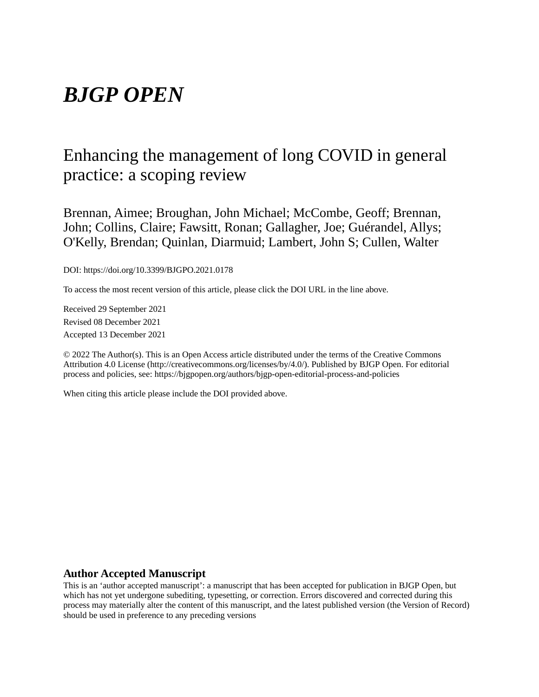# *BJGP OPEN*

## Enhancing the management of long COVID in general practice: a scoping review

Brennan, Aimee; Broughan, John Michael; McCombe, Geoff; Brennan, John; Collins, Claire; Fawsitt, Ronan; Gallagher, Joe; Guérandel, Allys; O'Kelly, Brendan; Quinlan, Diarmuid; Lambert, John S; Cullen, Walter

DOI: https://doi.org/10.3399/BJGPO.2021.0178

To access the most recent version of this article, please click the DOI URL in the line above.

Received 29 September 2021 Revised 08 December 2021 Accepted 13 December 2021

© 2022 The Author(s). This is an Open Access article distributed under the terms of the Creative Commons Attribution 4.0 License (http://creativecommons.org/licenses/by/4.0/). Published by BJGP Open. For editorial process and policies, see: https://bjgpopen.org/authors/bjgp-open-editorial-process-and-policies

When citing this article please include the DOI provided above.

#### **Author Accepted Manuscript**

This is an 'author accepted manuscript': a manuscript that has been accepted for publication in BJGP Open, but which has not yet undergone subediting, typesetting, or correction. Errors discovered and corrected during this process may materially alter the content of this manuscript, and the latest published version (the Version of Record) should be used in preference to any preceding versions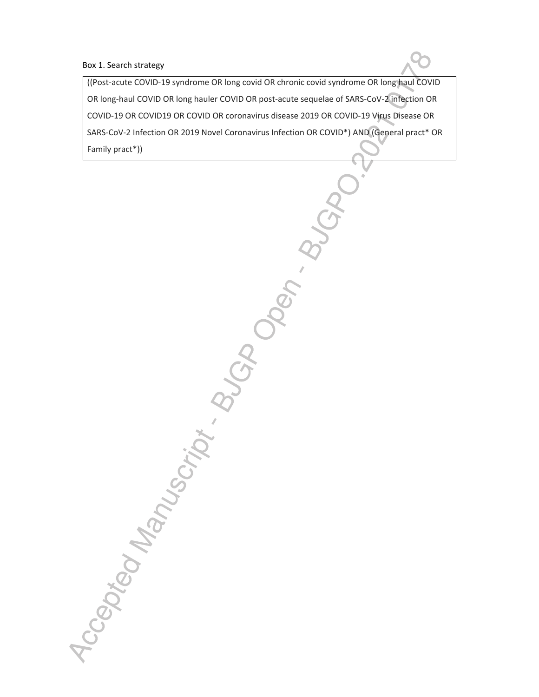#### Box 1. Search strategy

((Post-acute COVID-19 syndrome OR long covid OR chronic covid syndrome OR long haul COVID OR long-haul COVID OR long hauler COVID OR post-acute sequelae of SARS-CoV-2 infection OR COVID-19 OR COVID19 OR COVID OR coronavirus disease 2019 OR COVID-19 Virus Disease OR SARS-CoV-2 Infection OR 2019 Novel Coronavirus Infection OR COVID\*) AND (General pract\* OR Family pract\*))

Accepted Manuscript . Buch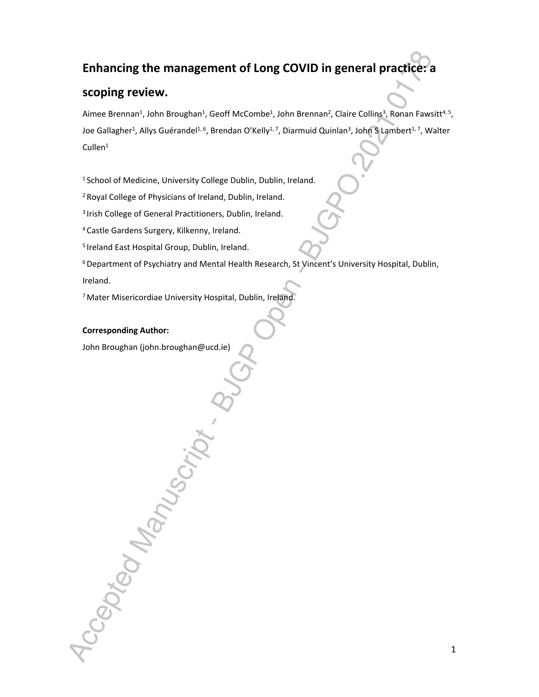## **Enhancing the management of Long COVID in general practice: a**

## **scoping review.**

Aimee Brennan<sup>1</sup>, John Broughan<sup>1</sup>, Geoff McCombe<sup>1</sup>, John Brennan<sup>2</sup>, Claire Collins<sup>3</sup>, Ronan Fawsitt<sup>4, 5</sup>, Joe Gallagher<sup>1</sup>, Allys Guérandel<sup>1, 6</sup>, Brendan O'Kelly<sup>1, 7</sup>, Diarmuid Quinlan<sup>3</sup>, John S Lambert<sup>1, 7</sup>, Walter Cullen<sup>1</sup>

<sup>1</sup> School of Medicine, University College Dublin, Dublin, Ireland.

<sup>2</sup>Royal College of Physicians of Ireland, Dublin, Ireland.

<sup>3</sup> Irish College of General Practitioners, Dublin, Ireland.

<sup>4</sup>Castle Gardens Surgery, Kilkenny, Ireland.

<sup>5</sup> Ireland East Hospital Group, Dublin, Ireland.

 $6$  Department of Psychiatry and Mental Health Research, St Vincent's University Hospital, Dublin, Ireland.

<sup>7</sup>Mater Misericordiae University Hospital, Dublin, Ireland.

**Corresponding Author:**

Accepted Manu

John Broughan (john.broughan@ucd.ie)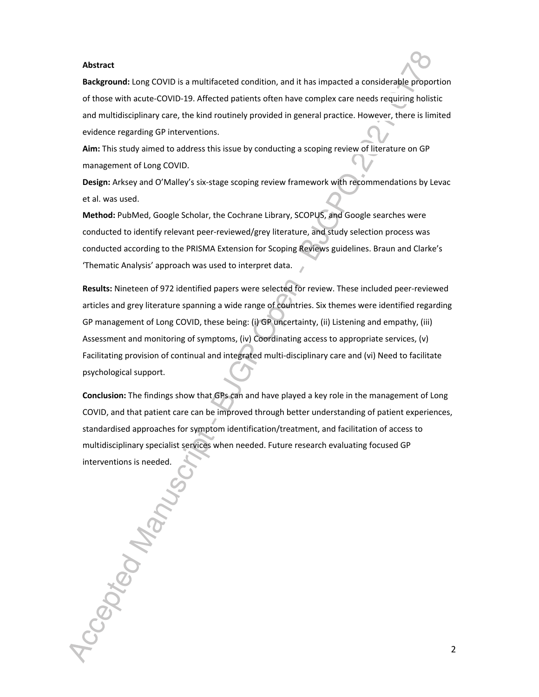#### **Abstract**

**Background:** Long COVID is a multifaceted condition, and it has impacted a considerable proportion of those with acute-COVID-19. Affected patients often have complex care needs requiring holistic and multidisciplinary care, the kind routinely provided in general practice. However, there is limited evidence regarding GP interventions.

**Aim:** This study aimed to address this issue by conducting a scoping review of literature on GP management of Long COVID.

**Design:** Arksey and O'Malley's six-stage scoping review framework with recommendations by Levac et al. was used.

**Method:** PubMed, Google Scholar, the Cochrane Library, SCOPUS, and Google searches were conducted to identify relevant peer-reviewed/grey literature, and study selection process was conducted according to the PRISMA Extension for Scoping Reviews guidelines. Braun and Clarke's 'Thematic Analysis' approach was used to interpret data.

**Results:** Nineteen of 972 identified papers were selected for review. These included peer-reviewed articles and grey literature spanning a wide range of countries. Six themes were identified regarding GP management of Long COVID, these being: (i) GP uncertainty, (ii) Listening and empathy, (iii) Assessment and monitoring of symptoms, (iv) Coordinating access to appropriate services, (v) Facilitating provision of continual and integrated multi-disciplinary care and (vi) Need to facilitate psychological support.

**Conclusion:** The findings show that GPs can and have played a key role in the management of Long COVID, and that patient care can be improved through better understanding of patient experiences, standardised approaches for symptom identification/treatment, and facilitation of access to multidisciplinary specialist services when needed. Future research evaluating focused GP interventions is needed.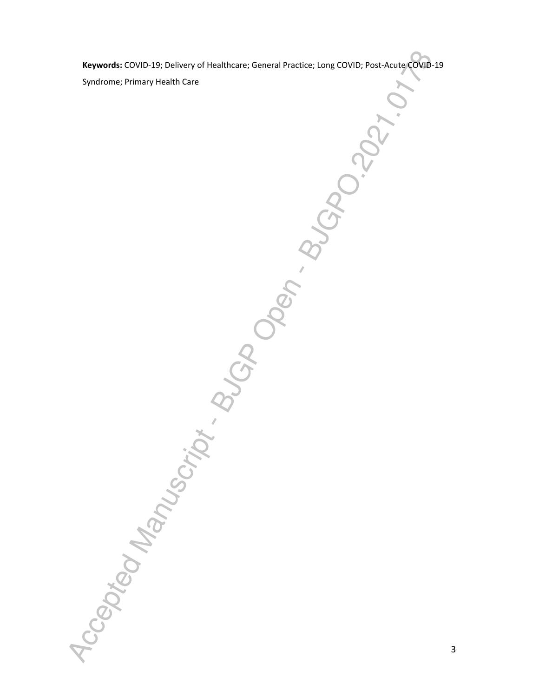**Keywords:** COVID-19; Delivery of Healthcare; General Practice; Long COVID; Post-Acute COVID-19 Syndrome; Primary Health Care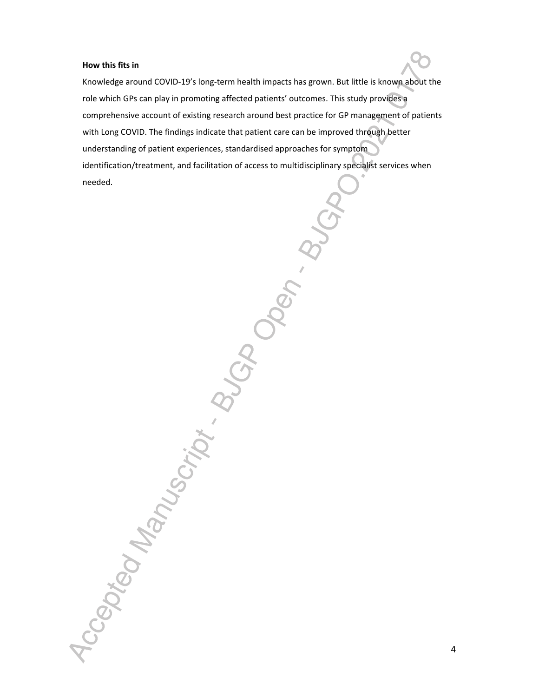#### **How this fits in**

Knowledge around COVID-19's long-term health impacts has grown. But little is known about the role which GPs can play in promoting affected patients' outcomes. This study provides a comprehensive account of existing research around best practice for GP management of patients with Long COVID. The findings indicate that patient care can be improved through better understanding of patient experiences, standardised approaches for symptom identification/treatment, and facilitation of access to multidisciplinary specialist services when According the Control Manufacturity Replacement Control Control Control Control Control Control Control Control Control Control Control Control Control Control Control Control Control Control Control Control Control Contro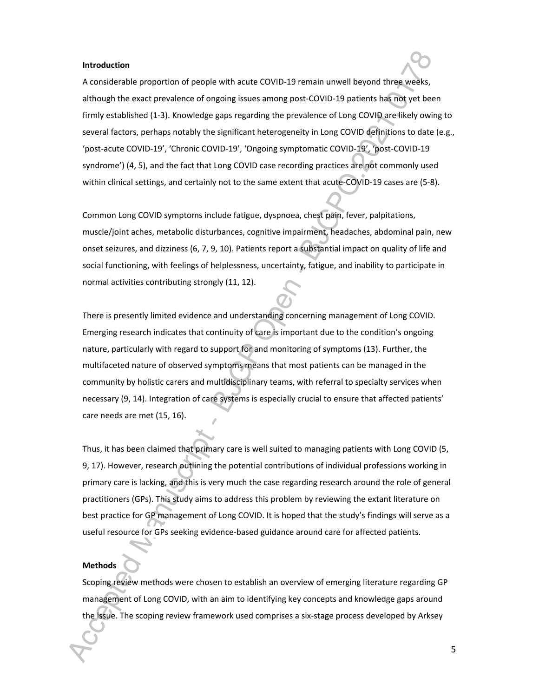#### **Introduction**

A considerable proportion of people with acute COVID-19 remain unwell beyond three weeks, although the exact prevalence of ongoing issues among post-COVID-19 patients has not yet been firmly established (1-3). Knowledge gaps regarding the prevalence of Long COVID are likely owing to several factors, perhaps notably the significant heterogeneity in Long COVID definitions to date (e.g., 'post-acute COVID-19', 'Chronic COVID-19', 'Ongoing symptomatic COVID-19', 'post-COVID-19 syndrome') (4, 5), and the fact that Long COVID case recording practices are not commonly used within clinical settings, and certainly not to the same extent that acute-COVID-19 cases are (5-8).

Common Long COVID symptoms include fatigue, dyspnoea, chest pain, fever, palpitations, muscle/joint aches, metabolic disturbances, cognitive impairment, headaches, abdominal pain, new onset seizures, and dizziness (6, 7, 9, 10). Patients report a substantial impact on quality of life and social functioning, with feelings of helplessness, uncertainty, fatigue, and inability to participate in normal activities contributing strongly (11, 12).

There is presently limited evidence and understanding concerning management of Long COVID. Emerging research indicates that continuity of care is important due to the condition's ongoing nature, particularly with regard to support for and monitoring of symptoms (13). Further, the multifaceted nature of observed symptoms means that most patients can be managed in the community by holistic carers and multidisciplinary teams, with referral to specialty services when necessary (9, 14). Integration of care systems is especially crucial to ensure that affected patients' care needs are met (15, 16).

Thus, it has been claimed that primary care is well suited to managing patients with Long COVID (5, 9, 17). However, research outlining the potential contributions of individual professions working in primary care is lacking, and this is very much the case regarding research around the role of general practitioners (GPs). This study aims to address this problem by reviewing the extant literature on best practice for GP management of Long COVID. It is hoped that the study's findings will serve as a useful resource for GPs seeking evidence-based guidance around care for affected patients.

#### **Methods**

Scoping review methods were chosen to establish an overview of emerging literature regarding GP management of Long COVID, with an aim to identifying key concepts and knowledge gaps around the issue. The scoping review framework used comprises a six-stage process developed by Arksey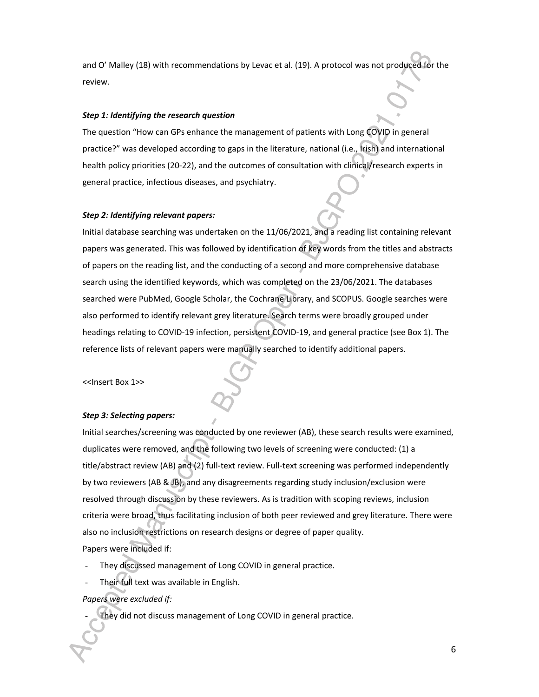and O' Malley (18) with recommendations by Levac et al. (19). A protocol was not produced for the review.

#### *Step 1: Identifying the research question*

The question "How can GPs enhance the management of patients with Long COVID in general practice?" was developed according to gaps in the literature, national (i.e., Irish) and international health policy priorities (20-22), and the outcomes of consultation with clinical/research experts in general practice, infectious diseases, and psychiatry.

#### *Step 2: Identifying relevant papers:*

Initial database searching was undertaken on the 11/06/2021, and a reading list containing relevant papers was generated. This was followed by identification of key words from the titles and abstracts of papers on the reading list, and the conducting of a second and more comprehensive database search using the identified keywords, which was completed on the 23/06/2021. The databases searched were PubMed, Google Scholar, the Cochrane Library, and SCOPUS. Google searches were also performed to identify relevant grey literature. Search terms were broadly grouped under headings relating to COVID-19 infection, persistent COVID-19, and general practice (see Box 1). The reference lists of relevant papers were manually searched to identify additional papers.

<<Insert Box 1>>

#### *Step 3: Selecting papers:*

Initial searches/screening was conducted by one reviewer (AB), these search results were examined, duplicates were removed, and the following two levels of screening were conducted: (1) a title/abstract review (AB) and (2) full-text review. Full-text screening was performed independently by two reviewers (AB & JB), and any disagreements regarding study inclusion/exclusion were resolved through discussion by these reviewers. As is tradition with scoping reviews, inclusion criteria were broad, thus facilitating inclusion of both peer reviewed and grey literature. There were also no inclusion restrictions on research designs or degree of paper quality. Papers were included if:

- They discussed management of Long COVID in general practice.
- Their full text was available in English.

#### *Papers were excluded if:*

They did not discuss management of Long COVID in general practice.

6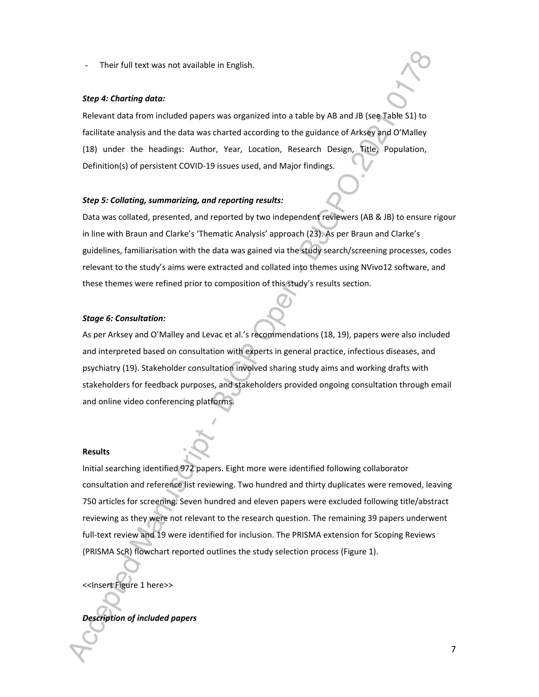Their full text was not available in English.

#### *Step 4: Charting data:*

Relevant data from included papers was organized into a table by AB and JB (see Table S1) to facilitate analysis and the data was charted according to the guidance of Arksey and O'Malley (18) under the headings: Author, Year, Location, Research Design, Title, Population, Definition(s) of persistent COVID-19 issues used, and Major findings.

#### *Step 5: Collating, summarizing, and reporting results:*

Data was collated, presented, and reported by two independent reviewers (AB & JB) to ensure rigour in line with Braun and Clarke's 'Thematic Analysis' approach (23). As per Braun and Clarke's guidelines, familiarisation with the data was gained via the study search/screening processes, codes relevant to the study's aims were extracted and collated into themes using NVivo12 software, and these themes were refined prior to composition of this study's results section.

#### *Stage 6: Consultation:*

As per Arksey and O'Malley and Levac et al.'s recommendations (18, 19), papers were also included and interpreted based on consultation with experts in general practice, infectious diseases, and psychiatry (19). Stakeholder consultation involved sharing study aims and working drafts with stakeholders for feedback purposes, and stakeholders provided ongoing consultation through email and online video conferencing platforms.

#### **Results**

Initial searching identified 972 papers. Eight more were identified following collaborator consultation and reference list reviewing. Two hundred and thirty duplicates were removed, leaving 750 articles for screening. Seven hundred and eleven papers were excluded following title/abstract reviewing as they were not relevant to the research question. The remaining 39 papers underwent full-text review and 19 were identified for inclusion. The PRISMA extension for Scoping Reviews (PRISMA ScR) flowchart reported outlines the study selection process (Figure 1).

<<Insert Figure 1 here>>

*Description of included papers*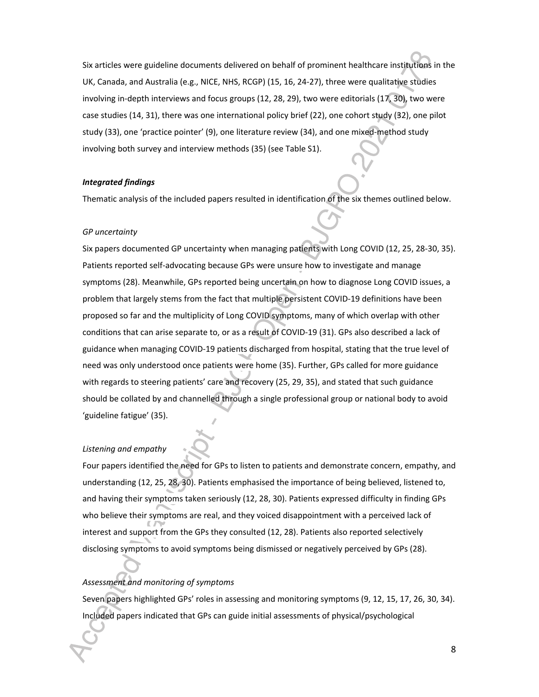Six articles were guideline documents delivered on behalf of prominent healthcare institutions in the UK, Canada, and Australia (e.g., NICE, NHS, RCGP) (15, 16, 24-27), three were qualitative studies involving in-depth interviews and focus groups (12, 28, 29), two were editorials (17, 30), two were case studies (14, 31), there was one international policy brief (22), one cohort study (32), one pilot study (33), one 'practice pointer' (9), one literature review (34), and one mixed-method study involving both survey and interview methods (35) (see Table S1).

#### *Integrated findings*

Thematic analysis of the included papers resulted in identification of the six themes outlined below.

#### *GP uncertainty*

Six papers documented GP uncertainty when managing patients with Long COVID (12, 25, 28-30, 35). Patients reported self-advocating because GPs were unsure how to investigate and manage symptoms (28). Meanwhile, GPs reported being uncertain on how to diagnose Long COVID issues, a problem that largely stems from the fact that multiple persistent COVID-19 definitions have been proposed so far and the multiplicity of Long COVID symptoms, many of which overlap with other conditions that can arise separate to, or as a result of COVID-19 (31). GPs also described a lack of guidance when managing COVID-19 patients discharged from hospital, stating that the true level of need was only understood once patients were home (35). Further, GPs called for more guidance with regards to steering patients' care and recovery (25, 29, 35), and stated that such guidance should be collated by and channelled through a single professional group or national body to avoid 'guideline fatigue' (35).

#### *Listening and empathy*

Four papers identified the need for GPs to listen to patients and demonstrate concern, empathy, and understanding (12, 25, 28, 30). Patients emphasised the importance of being believed, listened to, and having their symptoms taken seriously (12, 28, 30). Patients expressed difficulty in finding GPs who believe their symptoms are real, and they voiced disappointment with a perceived lack of interest and support from the GPs they consulted (12, 28). Patients also reported selectively disclosing symptoms to avoid symptoms being dismissed or negatively perceived by GPs (28).

#### *Assessment and monitoring of symptoms*

Seven papers highlighted GPs' roles in assessing and monitoring symptoms (9, 12, 15, 17, 26, 30, 34). Included papers indicated that GPs can guide initial assessments of physical/psychological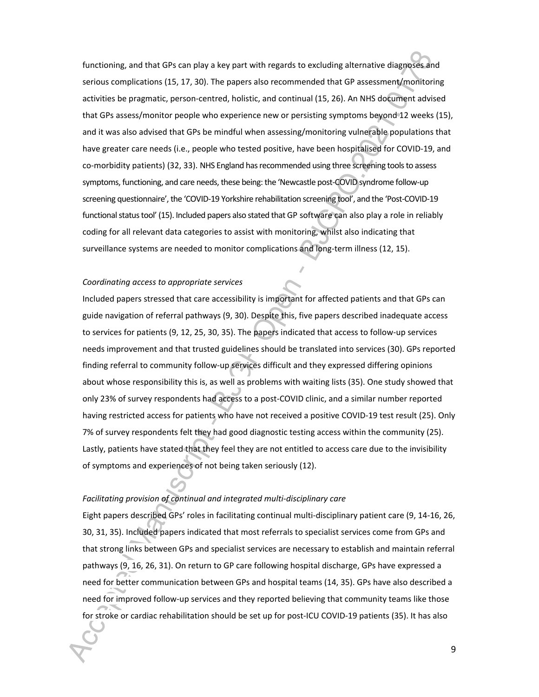functioning, and that GPs can play a key part with regards to excluding alternative diagnoses and serious complications (15, 17, 30). The papers also recommended that GP assessment/monitoring activities be pragmatic, person-centred, holistic, and continual (15, 26). An NHS document advised that GPs assess/monitor people who experience new or persisting symptoms beyond 12 weeks (15), and it was also advised that GPs be mindful when assessing/monitoring vulnerable populations that have greater care needs (i.e., people who tested positive, have been hospitalised for COVID-19, and co-morbidity patients) (32, 33). NHS England has recommended using three screening tools to assess symptoms, functioning, and care needs, these being: the 'Newcastle post-COVID syndrome follow-up screening questionnaire', the 'COVID-19 Yorkshire rehabilitation screening tool', and the 'Post-COVID-19 functional status tool' (15). Included papers also stated that GP software can also play a role in reliably coding for all relevant data categories to assist with monitoring, whilst also indicating that surveillance systems are needed to monitor complications and long-term illness (12, 15).

#### *Coordinating access to appropriate services*

Included papers stressed that care accessibility is important for affected patients and that GPs can guide navigation of referral pathways (9, 30). Despite this, five papers described inadequate access to services for patients (9, 12, 25, 30, 35). The papers indicated that access to follow-up services needs improvement and that trusted guidelines should be translated into services (30). GPs reported finding referral to community follow-up services difficult and they expressed differing opinions about whose responsibility this is, as well as problems with waiting lists (35). One study showed that only 23% of survey respondents had access to a post-COVID clinic, and a similar number reported having restricted access for patients who have not received a positive COVID-19 test result (25). Only 7% of survey respondents felt they had good diagnostic testing access within the community (25). Lastly, patients have stated that they feel they are not entitled to access care due to the invisibility of symptoms and experiences of not being taken seriously (12).

#### *Facilitating provision of continual and integrated multi-disciplinary care*

Eight papers described GPs' roles in facilitating continual multi-disciplinary patient care (9, 14-16, 26, 30, 31, 35). Included papers indicated that most referrals to specialist services come from GPs and that strong links between GPs and specialist services are necessary to establish and maintain referral pathways (9, 16, 26, 31). On return to GP care following hospital discharge, GPs have expressed a need for better communication between GPs and hospital teams (14, 35). GPs have also described a need for improved follow-up services and they reported believing that community teams like those for stroke or cardiac rehabilitation should be set up for post-ICU COVID-19 patients (35). It has also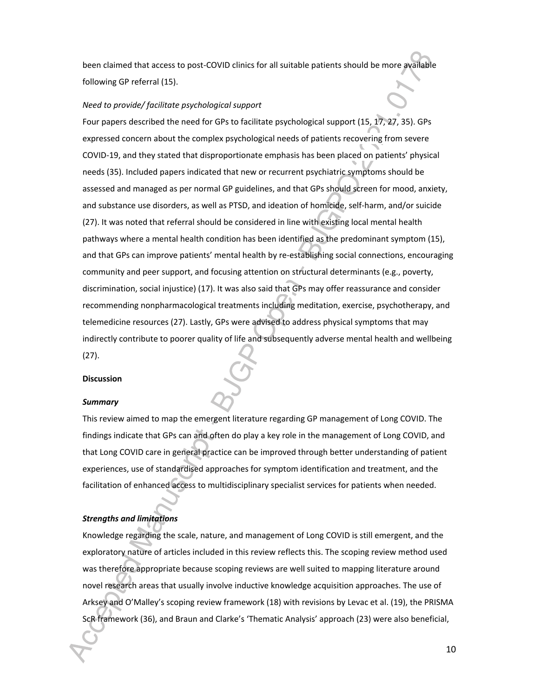been claimed that access to post-COVID clinics for all suitable patients should be more available following GP referral (15).

#### *Need to provide/ facilitate psychological support*

Four papers described the need for GPs to facilitate psychological support (15, 17, 27, 35). GPs expressed concern about the complex psychological needs of patients recovering from severe COVID-19, and they stated that disproportionate emphasis has been placed on patients' physical needs (35). Included papers indicated that new or recurrent psychiatric symptoms should be assessed and managed as per normal GP guidelines, and that GPs should screen for mood, anxiety, and substance use disorders, as well as PTSD, and ideation of homicide, self-harm, and/or suicide (27). It was noted that referral should be considered in line with existing local mental health pathways where a mental health condition has been identified as the predominant symptom (15), and that GPs can improve patients' mental health by re-establishing social connections, encouraging community and peer support, and focusing attention on structural determinants (e.g., poverty, discrimination, social injustice) (17). It was also said that GPs may offer reassurance and consider recommending nonpharmacological treatments including meditation, exercise, psychotherapy, and telemedicine resources (27). Lastly, GPs were advised to address physical symptoms that may indirectly contribute to poorer quality of life and subsequently adverse mental health and wellbeing (27).

#### **Discussion**

#### *Summary*

This review aimed to map the emergent literature regarding GP management of Long COVID. The findings indicate that GPs can and often do play a key role in the management of Long COVID, and that Long COVID care in general practice can be improved through better understanding of patient experiences, use of standardised approaches for symptom identification and treatment, and the facilitation of enhanced access to multidisciplinary specialist services for patients when needed.

#### *Strengths and limitations*

Knowledge regarding the scale, nature, and management of Long COVID is still emergent, and the exploratory nature of articles included in this review reflects this. The scoping review method used was therefore appropriate because scoping reviews are well suited to mapping literature around novel research areas that usually involve inductive knowledge acquisition approaches. The use of Arksey and O'Malley's scoping review framework (18) with revisions by Levac et al. (19), the PRISMA ScR framework (36), and Braun and Clarke's 'Thematic Analysis' approach (23) were also beneficial,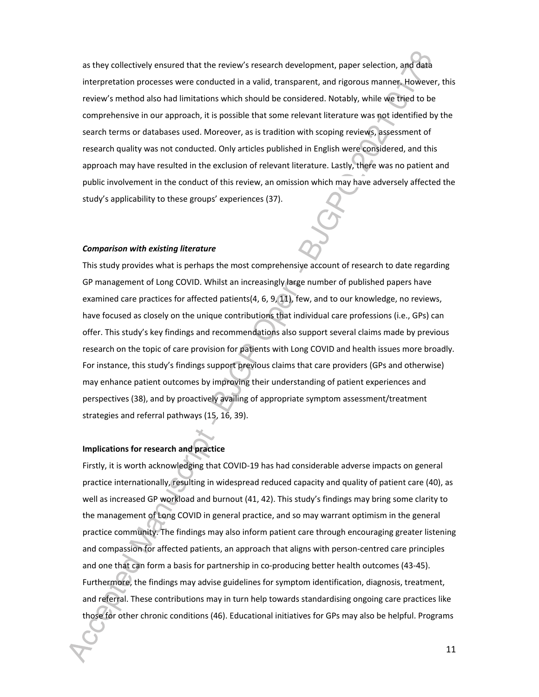as they collectively ensured that the review's research development, paper selection, and data interpretation processes were conducted in a valid, transparent, and rigorous manner. However, this review's method also had limitations which should be considered. Notably, while we tried to be comprehensive in our approach, it is possible that some relevant literature was not identified by the search terms or databases used. Moreover, as is tradition with scoping reviews, assessment of research quality was not conducted. Only articles published in English were considered, and this approach may have resulted in the exclusion of relevant literature. Lastly, there was no patient and public involvement in the conduct of this review, an omission which may have adversely affected the study's applicability to these groups' experiences (37).

#### *Comparison with existing literature*

This study provides what is perhaps the most comprehensive account of research to date regarding GP management of Long COVID. Whilst an increasingly large number of published papers have examined care practices for affected patients(4, 6, 9, 11), few, and to our knowledge, no reviews, have focused as closely on the unique contributions that individual care professions (i.e., GPs) can offer. This study's key findings and recommendations also support several claims made by previous research on the topic of care provision for patients with Long COVID and health issues more broadly. For instance, this study's findings support previous claims that care providers (GPs and otherwise) may enhance patient outcomes by improving their understanding of patient experiences and perspectives (38), and by proactively availing of appropriate symptom assessment/treatment strategies and referral pathways (15, 16, 39).

#### **Implications for research and practice**

Firstly, it is worth acknowledging that COVID-19 has had considerable adverse impacts on general practice internationally, resulting in widespread reduced capacity and quality of patient care (40), as well as increased GP workload and burnout (41, 42). This study's findings may bring some clarity to the management of Long COVID in general practice, and so may warrant optimism in the general practice community. The findings may also inform patient care through encouraging greater listening and compassion for affected patients, an approach that aligns with person-centred care principles and one that can form a basis for partnership in co-producing better health outcomes (43-45). Furthermore, the findings may advise guidelines for symptom identification, diagnosis, treatment, and referral. These contributions may in turn help towards standardising ongoing care practices like those for other chronic conditions (46). Educational initiatives for GPs may also be helpful. Programs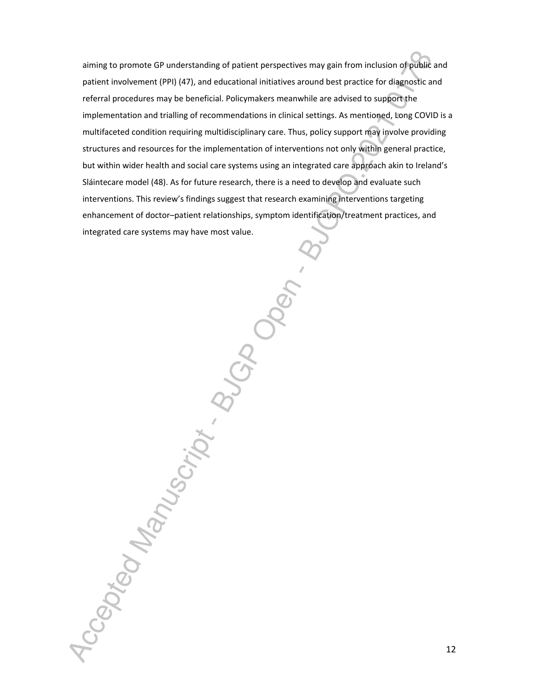aiming to promote GP understanding of patient perspectives may gain from inclusion of public and patient involvement (PPI) (47), and educational initiatives around best practice for diagnostic and referral procedures may be beneficial. Policymakers meanwhile are advised to support the implementation and trialling of recommendations in clinical settings. As mentioned, Long COVID is a multifaceted condition requiring multidisciplinary care. Thus, policy support may involve providing structures and resources for the implementation of interventions not only within general practice, but within wider health and social care systems using an integrated care approach akin to Ireland's Sláintecare model (48). As for future research, there is a need to develop and evaluate such interventions. This review's findings suggest that research examining interventions targeting enhancement of doctor–patient relationships, symptom identification/treatment practices, and integrated care systems may have most value.

Accepted Manuscript. But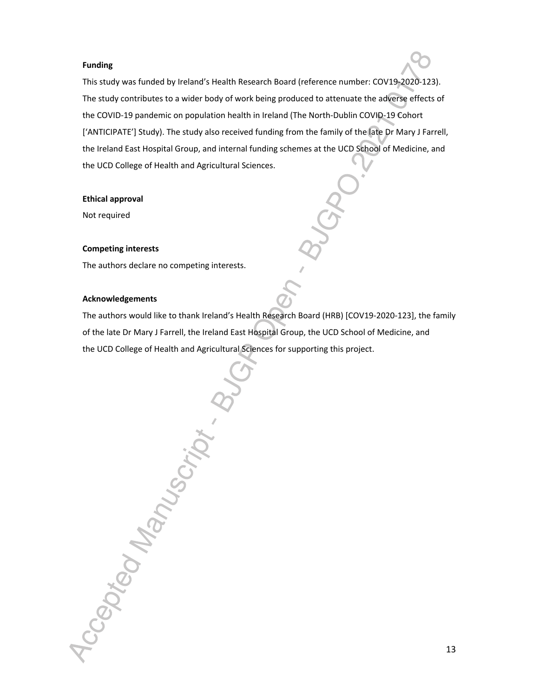#### **Funding**

This study was funded by Ireland's Health Research Board (reference number: COV19-2020-123). The study contributes to a wider body of work being produced to attenuate the adverse effects of the COVID-19 pandemic on population health in Ireland (The North-Dublin COVID-19 Cohort ['ANTICIPATE'] Study). The study also received funding from the family of the late Dr Mary J Farrell, the Ireland East Hospital Group, and internal funding schemes at the UCD School of Medicine, and the UCD College of Health and Agricultural Sciences.

#### **Ethical approval**

Not required

#### **Competing interests**

The authors declare no competing interests.

#### **Acknowledgements**

The authors would like to thank Ireland's Health Research Board (HRB) [COV19-2020-123], the family of the late Dr Mary J Farrell, the Ireland East Hospital Group, the UCD School of Medicine, and the UCD College of Health and Agricultural Sciences for supporting this project.

Accepted Manuscript.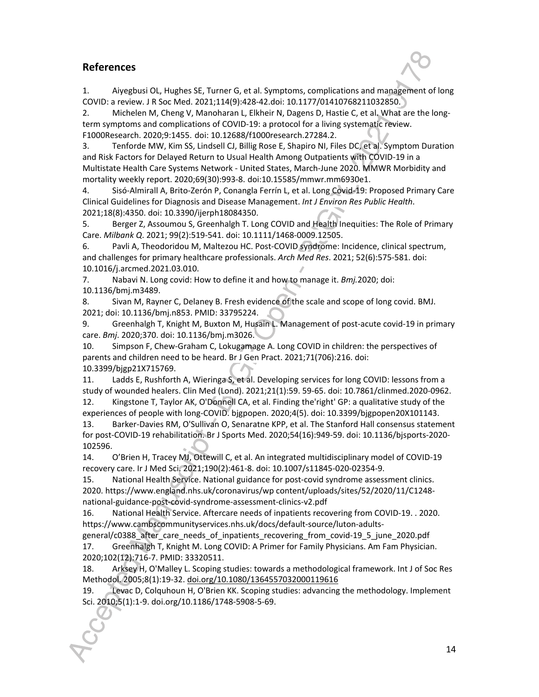### **References**

1. Aiyegbusi OL, Hughes SE, Turner G, et al. Symptoms, complications and management of long COVID: a review. J R Soc Med. 2021;114(9):428-42.doi: 10.1177/01410768211032850.

2. Michelen M, Cheng V, Manoharan L, Elkheir N, Dagens D, Hastie C, et al. What are the longterm symptoms and complications of COVID-19: a protocol for a living systematic review. F1000Research. 2020;9:1455. doi: 10.12688/f1000research.27284.2.

3. Tenforde MW, Kim SS, Lindsell CJ, Billig Rose E, Shapiro NI, Files DC, et al. Symptom Duration and Risk Factors for Delayed Return to Usual Health Among Outpatients with COVID-19 in a Multistate Health Care Systems Network - United States, March-June 2020. MMWR Morbidity and mortality weekly report. 2020;69(30):993-8. doi:10.15585/mmwr.mm6930e1.

4. Sisó-Almirall A, Brito-Zerón P, Conangla Ferrín L, et al. Long Covid-19: Proposed Primary Care Clinical Guidelines for Diagnosis and Disease Management. *Int J Environ Res Public Health*. 2021;18(8):4350. doi: 10.3390/ijerph18084350.

5. Berger Z, Assoumou S, Greenhalgh T. Long COVID and Health Inequities: The Role of Primary Care. *Milbank Q*. 2021; 99(2):519-541. doi: 10.1111/1468-0009.12505.

6. Pavli A, Theodoridou M, Maltezou HC. Post-COVID syndrome: Incidence, clinical spectrum, and challenges for primary healthcare professionals. *Arch Med Res*. 2021; 52(6):575-581. doi: 10.1016/j.arcmed.2021.03.010.

7. Nabavi N. Long covid: How to define it and how to manage it. *Bmj.*2020; doi: 10.1136/bmj.m3489.

8. Sivan M, Rayner C, Delaney B. Fresh evidence of the scale and scope of long covid. BMJ. 2021; doi: 10.1136/bmj.n853. PMID: 33795224.

9. Greenhalgh T, Knight M, Buxton M, Husain L. Management of post-acute covid-19 in primary care. *Bmj*. 2020;370. doi: 10.1136/bmj.m3026.

10. Simpson F, Chew-Graham C, Lokugamage A. Long COVID in children: the perspectives of parents and children need to be heard. Br J Gen Pract. 2021;71(706):216. doi: 10.3399/bjgp21X715769.

11. Ladds E, Rushforth A, Wieringa S, et al. Developing services for long COVID: lessons from a study of wounded healers. Clin Med (Lond). 2021;21(1):59. 59-65. doi: 10.7861/clinmed.2020-0962.

12. Kingstone T, Taylor AK, O'Donnell CA, et al. Finding the'right' GP: a qualitative study of the experiences of people with long-COVID. bjgpopen. 2020;4(5). doi: 10.3399/bjgpopen20X101143.

13. Barker-Davies RM, O'Sullivan O, Senaratne KPP, et al. The Stanford Hall consensus statement for post-COVID-19 rehabilitation. Br J Sports Med. 2020;54(16):949-59. doi: 10.1136/bjsports-2020- 102596.

14. O'Brien H, Tracey MJ, Ottewill C, et al. An integrated multidisciplinary model of COVID-19 recovery care. Ir J Med Sci. 2021;190(2):461-8. doi: 10.1007/s11845-020-02354-9.

15. National Health Service. National guidance for post-covid syndrome assessment clinics. 2020. https://www.england.nhs.uk/coronavirus/wp content/uploads/sites/52/2020/11/C1248 national-guidance-post-covid-syndrome-assessment-clinics-v2.pdf

16. National Health Service. Aftercare needs of inpatients recovering from COVID-19. . 2020. https://www.cambscommunityservices.nhs.uk/docs/default-source/luton-adults-

general/c0388 after care needs of inpatients recovering from covid-19 5 june 2020.pdf 17. Greenhalgh T, Knight M. Long COVID: A Primer for Family Physicians. Am Fam Physician. 2020;102(12):716-7. PMID: 33320511.

18. Arksey H, O'Malley L. Scoping studies: towards a methodological framework. Int J of Soc Res Methodol. 2005;8(1):19-32. doi.org/10.1080/1364557032000119616

19. Levac D, Colquhoun H, O'Brien KK. Scoping studies: advancing the methodology. Implement Sci. 2010;5(1):1-9. doi.org/10.1186/1748-5908-5-69.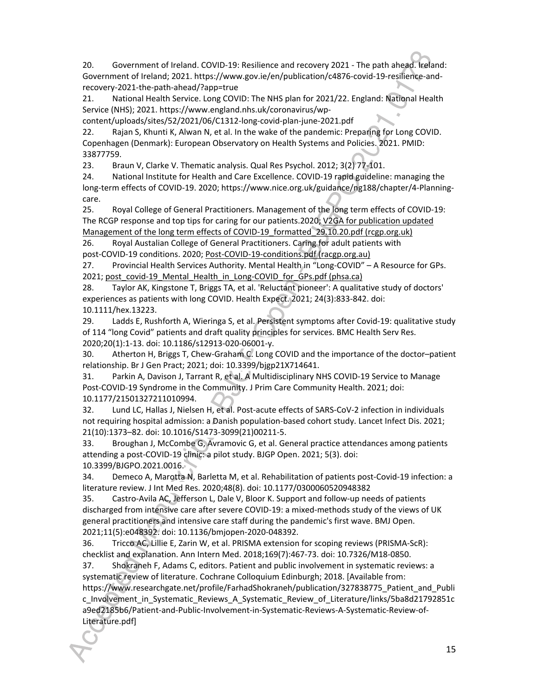20. Government of Ireland. COVID-19: Resilience and recovery 2021 - The path ahead. Ireland: Government of Ireland; 2021. https://www.gov.ie/en/publication/c4876-covid-19-resilience-andrecovery-2021-the-path-ahead/?app=true

21. National Health Service. Long COVID: The NHS plan for 2021/22. England: National Health Service (NHS); 2021. https://www.england.nhs.uk/coronavirus/wp-

content/uploads/sites/52/2021/06/C1312-long-covid-plan-june-2021.pdf

22. Rajan S, Khunti K, Alwan N, et al. In the wake of the pandemic: Preparing for Long COVID. Copenhagen (Denmark): European Observatory on Health Systems and Policies. 2021. PMID: 33877759.

23. Braun V, Clarke V. Thematic analysis. Qual Res Psychol. 2012; 3(2) 77-101.

24. National Institute for Health and Care Excellence. COVID-19 rapid guideline: managing the long-term effects of COVID-19. 2020; https://www.nice.org.uk/guidance/ng188/chapter/4-Planningcare.

25. Royal College of General Practitioners. Management of the long term effects of COVID-19: The RCGP response and top tips for caring for our patients.2020; V2GA for publication updated Management of the long term effects of COVID-19\_formatted\_29.10.20.pdf (rcgp.org.uk)

26. Royal Austalian College of General Practitioners. Caring for adult patients with post-COVID-19 conditions. 2020; Post-COVID-19-conditions.pdf (racgp.org.au)

27. Provincial Health Services Authority. Mental Health in "Long-COVID" – A Resource for GPs. 2021; post\_covid-19\_Mental\_Health\_in\_Long-COVID\_for\_GPs.pdf (phsa.ca)

28. Taylor AK, Kingstone T, Briggs TA, et al. 'Reluctant pioneer': A qualitative study of doctors' experiences as patients with long COVID. Health Expect. 2021; 24(3):833-842. doi: 10.1111/hex.13223.

29. Ladds E, Rushforth A, Wieringa S, et al. Persistent symptoms after Covid-19: qualitative study of 114 "long Covid" patients and draft quality principles for services. BMC Health Serv Res. 2020;20(1):1-13. doi: 10.1186/s12913-020-06001-y.

30. Atherton H, Briggs T, Chew-Graham C. Long COVID and the importance of the doctor–patient relationship. Br J Gen Pract; 2021; doi: 10.3399/bjgp21X714641.

31. Parkin A, Davison J, Tarrant R, et al. A Multidisciplinary NHS COVID-19 Service to Manage Post-COVID-19 Syndrome in the Community. J Prim Care Community Health. 2021; doi: 10.1177/21501327211010994.

32. Lund LC, Hallas J, Nielsen H, et al. Post-acute effects of SARS-CoV-2 infection in individuals not requiring hospital admission: a Danish population-based cohort study. Lancet Infect Dis. 2021; 21(10):1373–82. doi: 10.1016/S1473-3099(21)00211-5.

33. Broughan J, McCombe G, Avramovic G, et al. General practice attendances among patients attending a post-COVID-19 clinic: a pilot study. BJGP Open. 2021; 5(3). doi: 10.3399/BJGPO.2021.0016.

34. Demeco A, Marotta N, Barletta M, et al. Rehabilitation of patients post-Covid-19 infection: a literature review. J Int Med Res. 2020;48(8). doi: 10.1177/0300060520948382

35. Castro-Avila AC, Jefferson L, Dale V, Bloor K. Support and follow-up needs of patients discharged from intensive care after severe COVID-19: a mixed-methods study of the views of UK general practitioners and intensive care staff during the pandemic's first wave. BMJ Open. 2021;11(5):e048392. doi: 10.1136/bmjopen-2020-048392.

36. Tricco AC, Lillie E, Zarin W, et al. PRISMA extension for scoping reviews (PRISMA-ScR): checklist and explanation. Ann Intern Med. 2018;169(7):467-73. doi: 10.7326/M18-0850.

37. Shokraneh F, Adams C, editors. Patient and public involvement in systematic reviews: a systematic review of literature. Cochrane Colloquium Edinburgh; 2018. [Available from:

https://www.researchgate.net/profile/FarhadShokraneh/publication/327838775\_Patient\_and\_Publi c\_Involvement\_in\_Systematic\_Reviews\_A\_Systematic\_Review\_of\_Literature/links/5ba8d21792851c a9ed2185b6/Patient-and-Public-Involvement-in-Systematic-Reviews-A-Systematic-Review-of-Literature.pdf]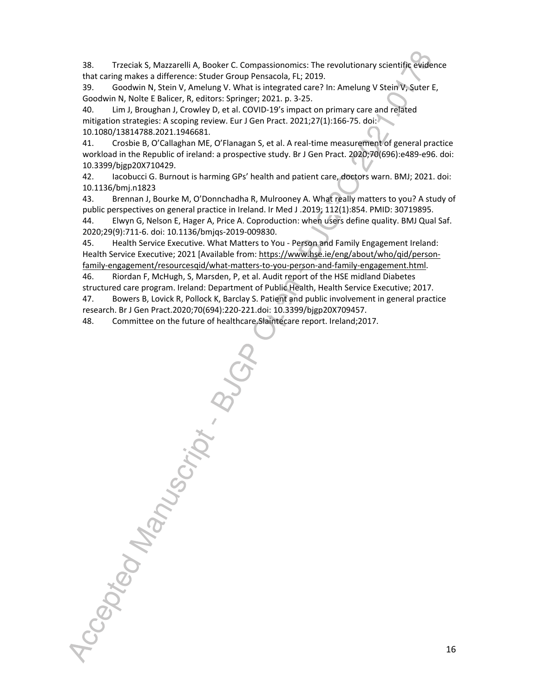38. Trzeciak S, Mazzarelli A, Booker C. Compassionomics: The revolutionary scientific evidence that caring makes a difference: Studer Group Pensacola, FL; 2019.

39. Goodwin N, Stein V, Amelung V. What is integrated care? In: Amelung V Stein V, Suter E, Goodwin N, Nolte E Balicer, R, editors: Springer; 2021. p. 3-25.

40. Lim J, Broughan J, Crowley D, et al. COVID-19's impact on primary care and related mitigation strategies: A scoping review. Eur J Gen Pract. 2021;27(1):166-75. doi: 10.1080/13814788.2021.1946681.

41. Crosbie B, O'Callaghan ME, O'Flanagan S, et al. A real-time measurement of general practice workload in the Republic of ireland: a prospective study. Br J Gen Pract. 2020;70(696):e489-e96. doi: 10.3399/bjgp20X710429.

42. Iacobucci G. Burnout is harming GPs' health and patient care, doctors warn. BMJ; 2021. doi: 10.1136/bmj.n1823

43. Brennan J, Bourke M, O'Donnchadha R, Mulrooney A. What really matters to you? A study of public perspectives on general practice in Ireland. Ir Med J .2019; 112(1):854. PMID: 30719895.

44. Elwyn G, Nelson E, Hager A, Price A. Coproduction: when users define quality. BMJ Qual Saf. 2020;29(9):711-6. doi: 10.1136/bmjqs-2019-009830.

45. Health Service Executive. What Matters to You - Person and Family Engagement Ireland: Health Service Executive; 2021 [Available from: https://www.hse.ie/eng/about/who/qid/personfamily-engagement/resourcesqid/what-matters-to-you-person-and-family-engagement.html.

46. Riordan F, McHugh, S, Marsden, P, et al. Audit report of the HSE midland Diabetes structured care program. Ireland: Department of Public Health, Health Service Executive; 2017.

47. Bowers B, Lovick R, Pollock K, Barclay S. Patient and public involvement in general practice research. Br J Gen Pract.2020;70(694):220-221.doi: 10.3399/bjgp20X709457.

48. Committee on the future of healthcare.Slaintecare report. Ireland;2017.

Accepted Manuscript B.

16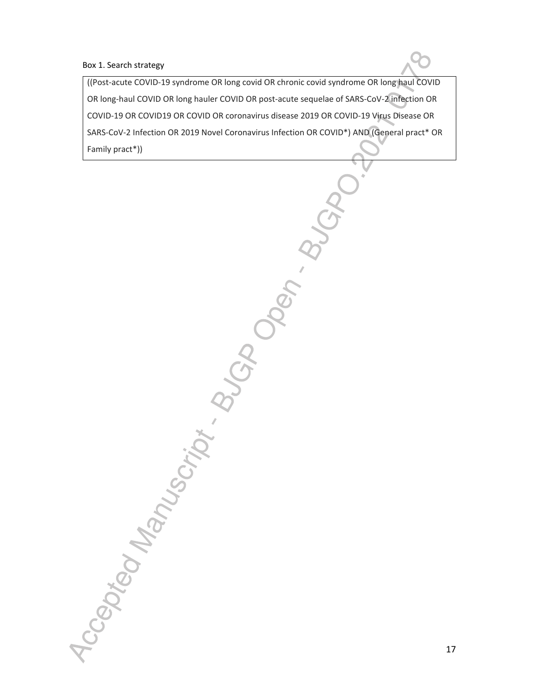#### Box 1. Search strategy

Accepted Manuscript . BUCAD

((Post-acute COVID-19 syndrome OR long covid OR chronic covid syndrome OR long haul COVID OR long-haul COVID OR long hauler COVID OR post-acute sequelae of SARS-CoV-2 infection OR COVID-19 OR COVID19 OR COVID OR coronavirus disease 2019 OR COVID-19 Virus Disease OR SARS-CoV-2 Infection OR 2019 Novel Coronavirus Infection OR COVID\*) AND (General pract\* OR Family pract\*))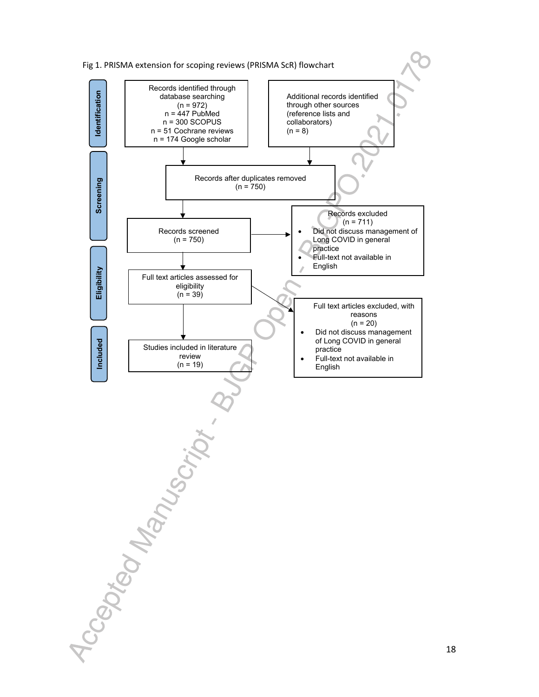